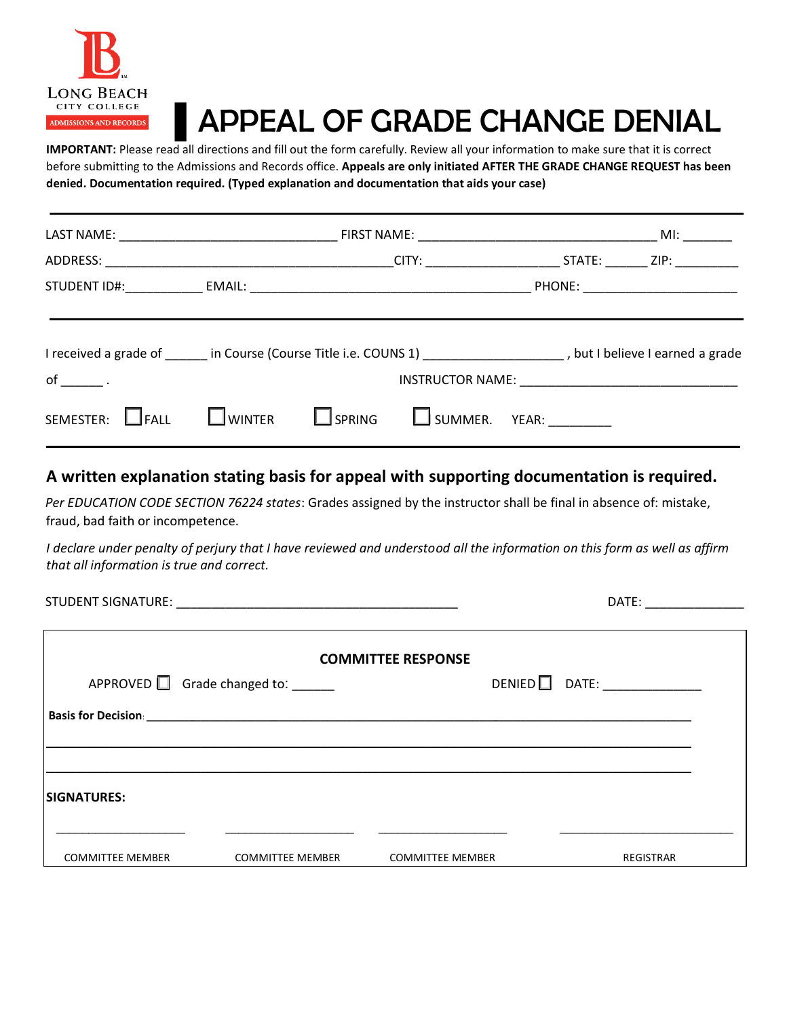

## ▌APPEAL OF GRADE CHANGE DENIAL

**IMPORTANT:** Please read all directions and fill out the form carefully. Review all your information to make sure that it is correct before submitting to the Admissions and Records office. **Appeals are only initiated AFTER THE GRADE CHANGE REQUEST has been denied. Documentation required. (Typed explanation and documentation that aids your case)**

| I received a grade of in Course (Course Title i.e. COUNS 1) [19] I received a grade is a grade in Course (Course Title i.e. COUNS 1) |  |  |  |                                                                     |  |
|--------------------------------------------------------------------------------------------------------------------------------------|--|--|--|---------------------------------------------------------------------|--|
| $of \qquad .$                                                                                                                        |  |  |  |                                                                     |  |
| SEMESTER: FALL                                                                                                                       |  |  |  | $\square$ winter $\square$ spring $\square$ summer. Year: _________ |  |

## **A written explanation stating basis for appeal with supporting documentation is required.**

*Per EDUCATION CODE SECTION 76224 states*: Grades assigned by the instructor shall be final in absence of: mistake, fraud, bad faith or incompetence.

*I declare under penalty of perjury that I have reviewed and understood all the information on this form as well as affirm that all information is true and correct.* 

STUDENT SIGNATURE: \_\_\_\_\_\_\_\_\_\_\_\_\_\_\_\_\_\_\_\_\_\_\_\_\_\_\_\_\_\_\_\_\_\_\_\_\_\_\_\_ DATE: \_\_\_\_\_\_\_\_\_\_\_\_\_\_

|                         | APPROVED $\Box$ Grade changed to: _____ | <b>COMMITTEE RESPONSE</b> | $DENIED$ DATE: ____________ |
|-------------------------|-----------------------------------------|---------------------------|-----------------------------|
|                         |                                         |                           |                             |
|                         |                                         |                           |                             |
| <b>SIGNATURES:</b>      |                                         |                           |                             |
| <b>COMMITTEE MEMBER</b> | <b>COMMITTEE MEMBER</b>                 | <b>COMMITTEE MEMBER</b>   | <b>REGISTRAR</b>            |